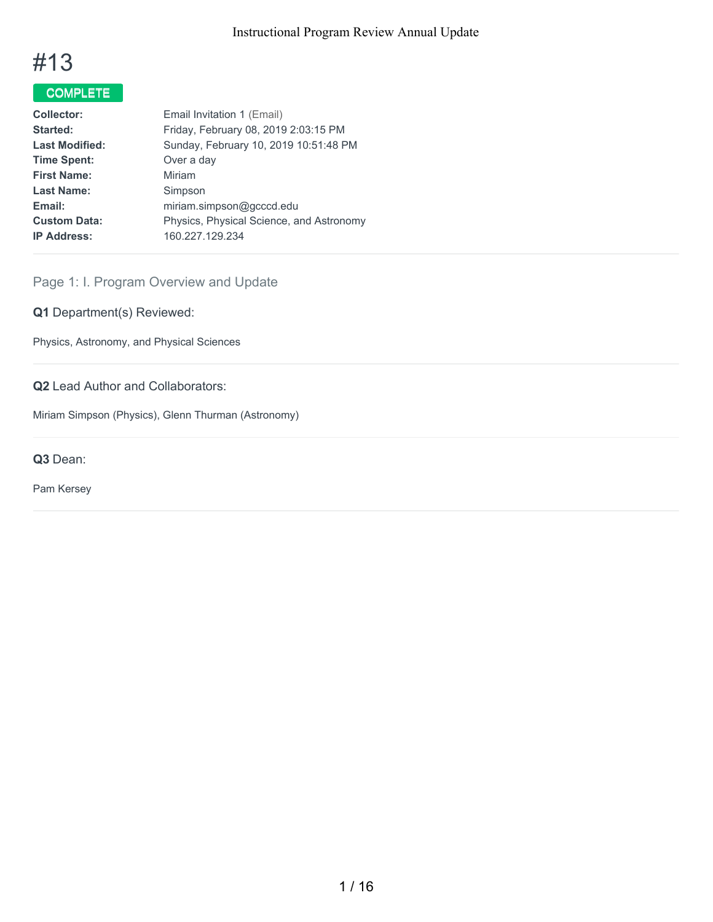

# COMPLETE

| <b>Collector:</b>     | Email Invitation 1 (Email)               |
|-----------------------|------------------------------------------|
| Started:              | Friday, February 08, 2019 2:03:15 PM     |
| <b>Last Modified:</b> | Sunday, February 10, 2019 10:51:48 PM    |
| <b>Time Spent:</b>    | Over a day                               |
| <b>First Name:</b>    | Miriam                                   |
| <b>Last Name:</b>     | Simpson                                  |
| Email:                | miriam.simpson@gcccd.edu                 |
| <b>Custom Data:</b>   | Physics, Physical Science, and Astronomy |
| <b>IP Address:</b>    | 160.227.129.234                          |
|                       |                                          |

## Page 1: I. Program Overview and Update

## **Q1** Department(s) Reviewed:

Physics, Astronomy, and Physical Sciences

## **Q2** Lead Author and Collaborators:

Miriam Simpson (Physics), Glenn Thurman (Astronomy)

**Q3** Dean:

Pam Kersey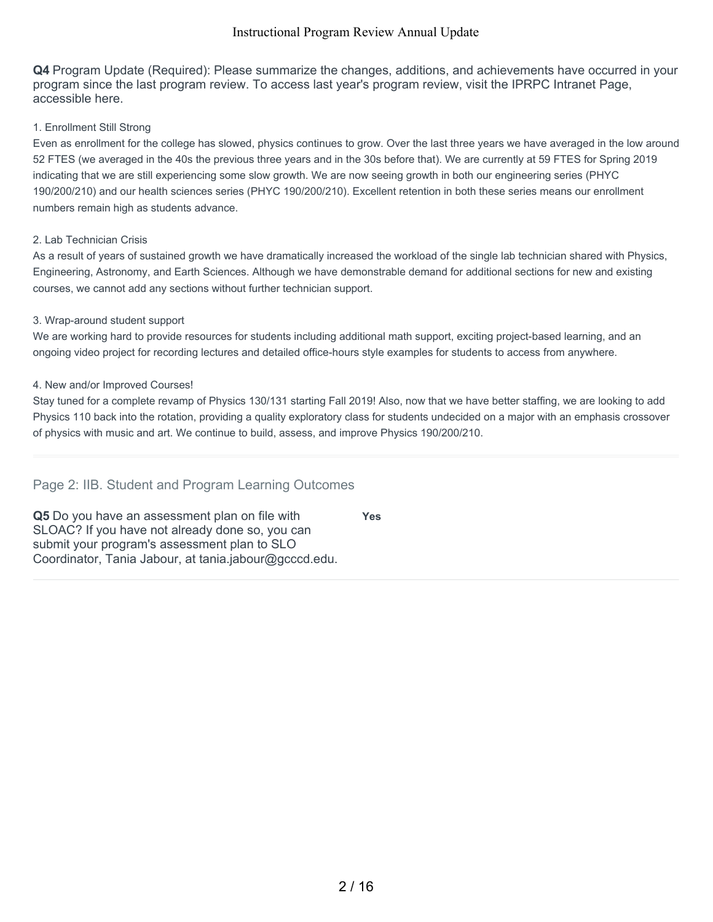**Q4** Program Update (Required): Please summarize the changes, additions, and achievements have occurred in your program since the last program review. To access last year's program review, visit the IPRPC Intranet Page, accessible here.

#### 1. Enrollment Still Strong

Even as enrollment for the college has slowed, physics continues to grow. Over the last three years we have averaged in the low around 52 FTES (we averaged in the 40s the previous three years and in the 30s before that). We are currently at 59 FTES for Spring 2019 indicating that we are still experiencing some slow growth. We are now seeing growth in both our engineering series (PHYC 190/200/210) and our health sciences series (PHYC 190/200/210). Excellent retention in both these series means our enrollment numbers remain high as students advance.

#### 2. Lab Technician Crisis

As a result of years of sustained growth we have dramatically increased the workload of the single lab technician shared with Physics, Engineering, Astronomy, and Earth Sciences. Although we have demonstrable demand for additional sections for new and existing courses, we cannot add any sections without further technician support.

#### 3. Wrap-around student support

We are working hard to provide resources for students including additional math support, exciting project-based learning, and an ongoing video project for recording lectures and detailed office-hours style examples for students to access from anywhere.

#### 4. New and/or Improved Courses!

Stay tuned for a complete revamp of Physics 130/131 starting Fall 2019! Also, now that we have better staffing, we are looking to add Physics 110 back into the rotation, providing a quality exploratory class for students undecided on a major with an emphasis crossover of physics with music and art. We continue to build, assess, and improve Physics 190/200/210.

**Yes**

## Page 2: IIB. Student and Program Learning Outcomes

**Q5** Do you have an assessment plan on file with SLOAC? If you have not already done so, you can submit your program's assessment plan to SLO Coordinator, Tania Jabour, at tania.jabour@gcccd.edu.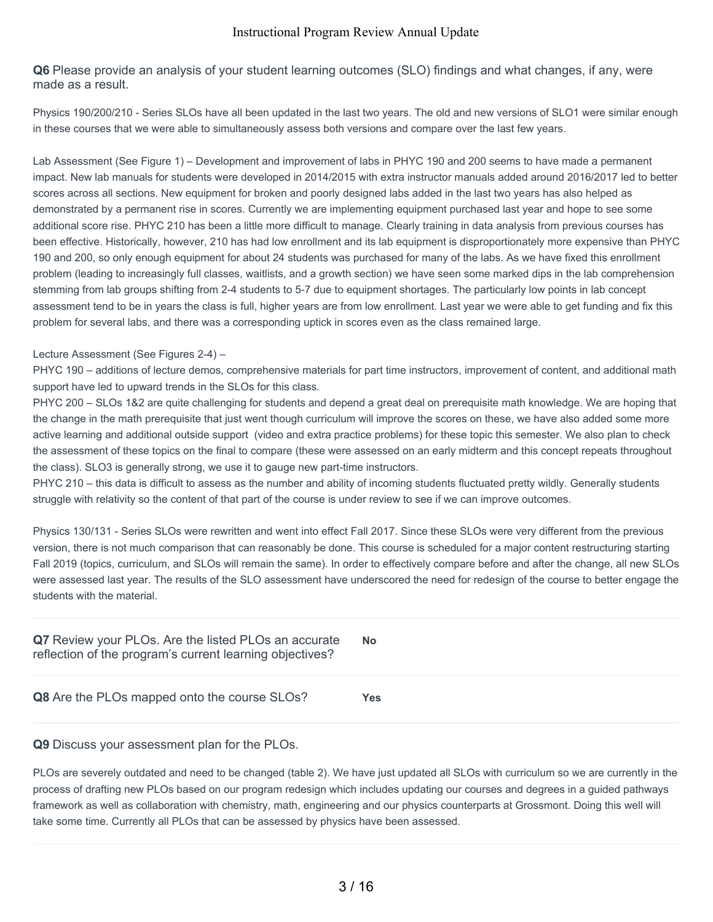**Q6** Please provide an analysis of your student learning outcomes (SLO) findings and what changes, if any, were made as a result.

Physics 190/200/210 - Series SLOs have all been updated in the last two years. The old and new versions of SLO1 were similar enough in these courses that we were able to simultaneously assess both versions and compare over the last few years.

Lab Assessment (See Figure 1) – Development and improvement of labs in PHYC 190 and 200 seems to have made a permanent impact. New lab manuals for students were developed in 2014/2015 with extra instructor manuals added around 2016/2017 led to better scores across all sections. New equipment for broken and poorly designed labs added in the last two years has also helped as demonstrated by a permanent rise in scores. Currently we are implementing equipment purchased last year and hope to see some additional score rise. PHYC 210 has been a little more difficult to manage. Clearly training in data analysis from previous courses has been effective. Historically, however, 210 has had low enrollment and its lab equipment is disproportionately more expensive than PHYC 190 and 200, so only enough equipment for about 24 students was purchased for many of the labs. As we have fixed this enrollment problem (leading to increasingly full classes, waitlists, and a growth section) we have seen some marked dips in the lab comprehension stemming from lab groups shifting from 2-4 students to 5-7 due to equipment shortages. The particularly low points in lab concept assessment tend to be in years the class is full, higher years are from low enrollment. Last year we were able to get funding and fix this problem for several labs, and there was a corresponding uptick in scores even as the class remained large.

#### Lecture Assessment (See Figures 2-4) –

PHYC 190 – additions of lecture demos, comprehensive materials for part time instructors, improvement of content, and additional math support have led to upward trends in the SLOs for this class.

PHYC 200 – SLOs 1&2 are quite challenging for students and depend a great deal on prerequisite math knowledge. We are hoping that the change in the math prerequisite that just went though curriculum will improve the scores on these, we have also added some more active learning and additional outside support (video and extra practice problems) for these topic this semester. We also plan to check the assessment of these topics on the final to compare (these were assessed on an early midterm and this concept repeats throughout the class). SLO3 is generally strong, we use it to gauge new part-time instructors.

PHYC 210 – this data is difficult to assess as the number and ability of incoming students fluctuated pretty wildly. Generally students struggle with relativity so the content of that part of the course is under review to see if we can improve outcomes.

Physics 130/131 - Series SLOs were rewritten and went into effect Fall 2017. Since these SLOs were very different from the previous version, there is not much comparison that can reasonably be done. This course is scheduled for a major content restructuring starting Fall 2019 (topics, curriculum, and SLOs will remain the same). In order to effectively compare before and after the change, all new SLOs were assessed last year. The results of the SLO assessment have underscored the need for redesign of the course to better engage the students with the material.

| Q7 Review your PLOs. Are the listed PLOs an accurate<br>reflection of the program's current learning objectives? | <b>No</b> |
|------------------------------------------------------------------------------------------------------------------|-----------|
| Q8 Are the PLOs mapped onto the course SLOs?                                                                     | Yes       |

#### **Q9** Discuss your assessment plan for the PLOs.

PLOs are severely outdated and need to be changed (table 2). We have just updated all SLOs with curriculum so we are currently in the process of drafting new PLOs based on our program redesign which includes updating our courses and degrees in a guided pathways framework as well as collaboration with chemistry, math, engineering and our physics counterparts at Grossmont. Doing this well will take some time. Currently all PLOs that can be assessed by physics have been assessed.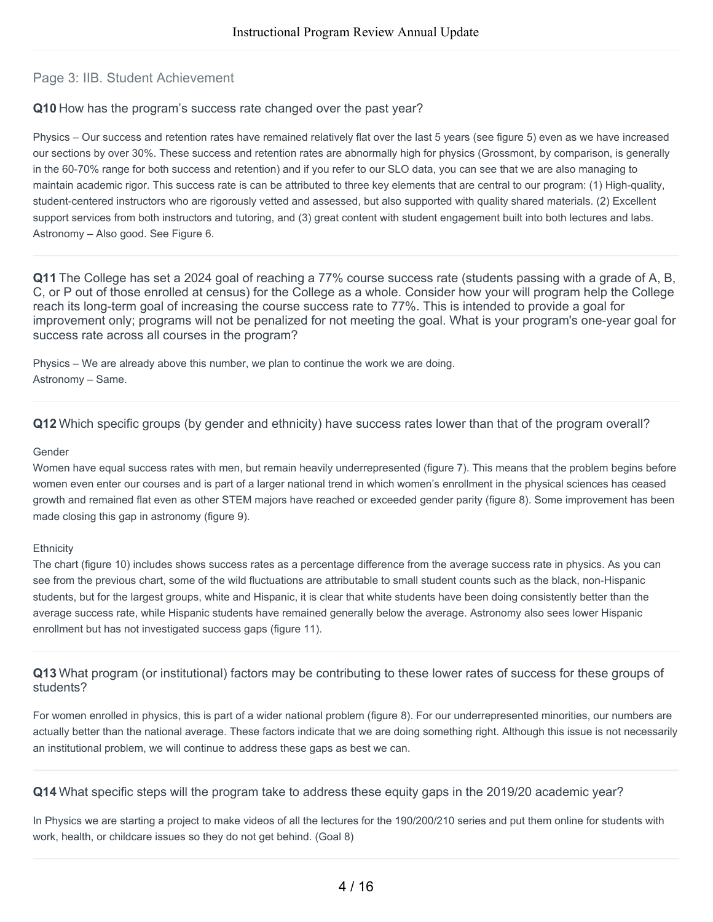## Page 3: IIB. Student Achievement

#### **Q10** How has the program's success rate changed over the past year?

Physics – Our success and retention rates have remained relatively flat over the last 5 years (see figure 5) even as we have increased our sections by over 30%. These success and retention rates are abnormally high for physics (Grossmont, by comparison, is generally in the 60-70% range for both success and retention) and if you refer to our SLO data, you can see that we are also managing to maintain academic rigor. This success rate is can be attributed to three key elements that are central to our program: (1) High-quality, student-centered instructors who are rigorously vetted and assessed, but also supported with quality shared materials. (2) Excellent support services from both instructors and tutoring, and (3) great content with student engagement built into both lectures and labs. Astronomy – Also good. See Figure 6.

**Q11** The College has set a 2024 goal of reaching a 77% course success rate (students passing with a grade of A, B, C, or P out of those enrolled at census) for the College as a whole. Consider how your will program help the College reach its long-term goal of increasing the course success rate to 77%. This is intended to provide a goal for improvement only; programs will not be penalized for not meeting the goal. What is your program's one-year goal for success rate across all courses in the program?

Physics – We are already above this number, we plan to continue the work we are doing. Astronomy – Same.

**Q12** Which specific groups (by gender and ethnicity) have success rates lower than that of the program overall?

#### Gender

Women have equal success rates with men, but remain heavily underrepresented (figure 7). This means that the problem begins before women even enter our courses and is part of a larger national trend in which women's enrollment in the physical sciences has ceased growth and remained flat even as other STEM majors have reached or exceeded gender parity (figure 8). Some improvement has been made closing this gap in astronomy (figure 9).

#### **Ethnicity**

The chart (figure 10) includes shows success rates as a percentage difference from the average success rate in physics. As you can see from the previous chart, some of the wild fluctuations are attributable to small student counts such as the black, non-Hispanic students, but for the largest groups, white and Hispanic, it is clear that white students have been doing consistently better than the average success rate, while Hispanic students have remained generally below the average. Astronomy also sees lower Hispanic enrollment but has not investigated success gaps (figure 11).

**Q13** What program (or institutional) factors may be contributing to these lower rates of success for these groups of students?

For women enrolled in physics, this is part of a wider national problem (figure 8). For our underrepresented minorities, our numbers are actually better than the national average. These factors indicate that we are doing something right. Although this issue is not necessarily an institutional problem, we will continue to address these gaps as best we can.

**Q14** What specific steps will the program take to address these equity gaps in the 2019/20 academic year?

In Physics we are starting a project to make videos of all the lectures for the 190/200/210 series and put them online for students with work, health, or childcare issues so they do not get behind. (Goal 8)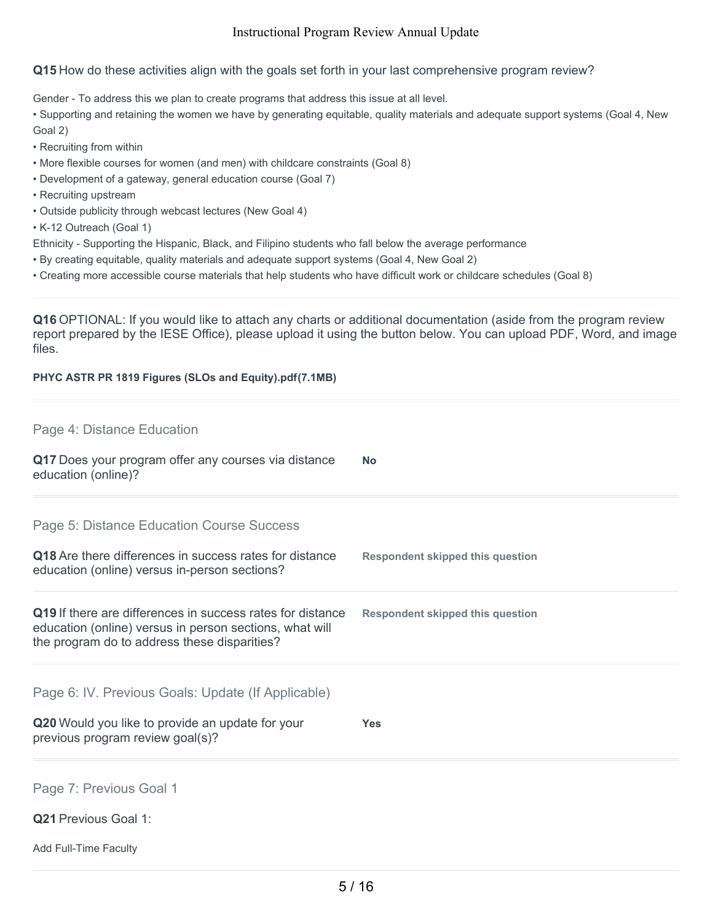## **Q15** How do these activities align with the goals set forth in your last comprehensive program review?

Gender - To address this we plan to create programs that address this issue at all level.

• Supporting and retaining the women we have by generating equitable, quality materials and adequate support systems (Goal 4, New Goal 2)

- Recruiting from within
- More flexible courses for women (and men) with childcare constraints (Goal 8)
- Development of a gateway, general education course (Goal 7)
- Recruiting upstream
- Outside publicity through webcast lectures (New Goal 4)

• K-12 Outreach (Goal 1)

- Ethnicity Supporting the Hispanic, Black, and Filipino students who fall below the average performance
- By creating equitable, quality materials and adequate support systems (Goal 4, New Goal 2)
- Creating more accessible course materials that help students who have difficult work or childcare schedules (Goal 8)

**Q16** OPTIONAL: If you would like to attach any charts or additional documentation (aside from the program review report prepared by the IESE Office), please upload it using the button below. You can upload PDF, Word, and image files.

#### **PHYC ASTR PR 1819 Figures (SLOs and Equity).pdf(7.1MB)**

## Page 4: Distance Education

**Q17** Does your program offer any courses via distance education (online)? **No**

Page 5: Distance Education Course Success

| Q18 Are there differences in success rates for distance | <b>Respondent skipped this question</b> |
|---------------------------------------------------------|-----------------------------------------|
| education (online) versus in-person sections?           |                                         |

#### **Q19** If there are differences in success rates for distance education (online) versus in person sections, what will the program do to address these disparities? **Respondent skipped this question**

Page 6: IV. Previous Goals: Update (If Applicable)

| Q20 Would you like to provide an update for your | <b>Yes</b> |
|--------------------------------------------------|------------|
| previous program review goal(s)?                 |            |

Page 7: Previous Goal 1

- **Q21** Previous Goal 1:
- Add Full-Time Faculty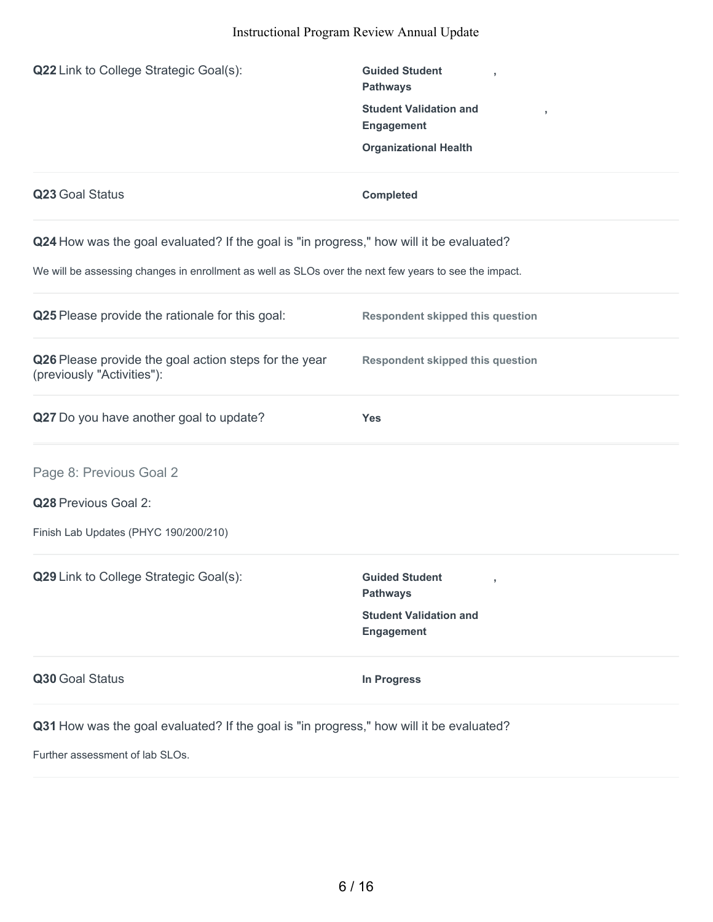| Q22 Link to College Strategic Goal(s):                                                                                                                                                           | <b>Guided Student</b><br><b>Pathways</b><br><b>Student Validation and</b><br>,<br><b>Engagement</b><br><b>Organizational Health</b> |
|--------------------------------------------------------------------------------------------------------------------------------------------------------------------------------------------------|-------------------------------------------------------------------------------------------------------------------------------------|
| Q23 Goal Status                                                                                                                                                                                  | <b>Completed</b>                                                                                                                    |
| Q24 How was the goal evaluated? If the goal is "in progress," how will it be evaluated?<br>We will be assessing changes in enrollment as well as SLOs over the next few years to see the impact. |                                                                                                                                     |
| Q25 Please provide the rationale for this goal:                                                                                                                                                  | <b>Respondent skipped this question</b>                                                                                             |
| Q26 Please provide the goal action steps for the year<br>(previously "Activities"):                                                                                                              | <b>Respondent skipped this question</b>                                                                                             |
| Q27 Do you have another goal to update?                                                                                                                                                          | <b>Yes</b>                                                                                                                          |
| Page 8: Previous Goal 2                                                                                                                                                                          |                                                                                                                                     |
| Q28 Previous Goal 2:                                                                                                                                                                             |                                                                                                                                     |
| Finish Lab Updates (PHYC 190/200/210)                                                                                                                                                            |                                                                                                                                     |
| Q29 Link to College Strategic Goal(s):                                                                                                                                                           | <b>Guided Student</b><br>$\,$<br><b>Pathways</b>                                                                                    |
|                                                                                                                                                                                                  | <b>Student Validation and</b><br><b>Engagement</b>                                                                                  |
| Q30 Goal Status                                                                                                                                                                                  | <b>In Progress</b>                                                                                                                  |
| Q31 How was the goal evaluated? If the goal is "in progress," how will it be evaluated?                                                                                                          |                                                                                                                                     |
| Further assessment of lab SLOs.                                                                                                                                                                  |                                                                                                                                     |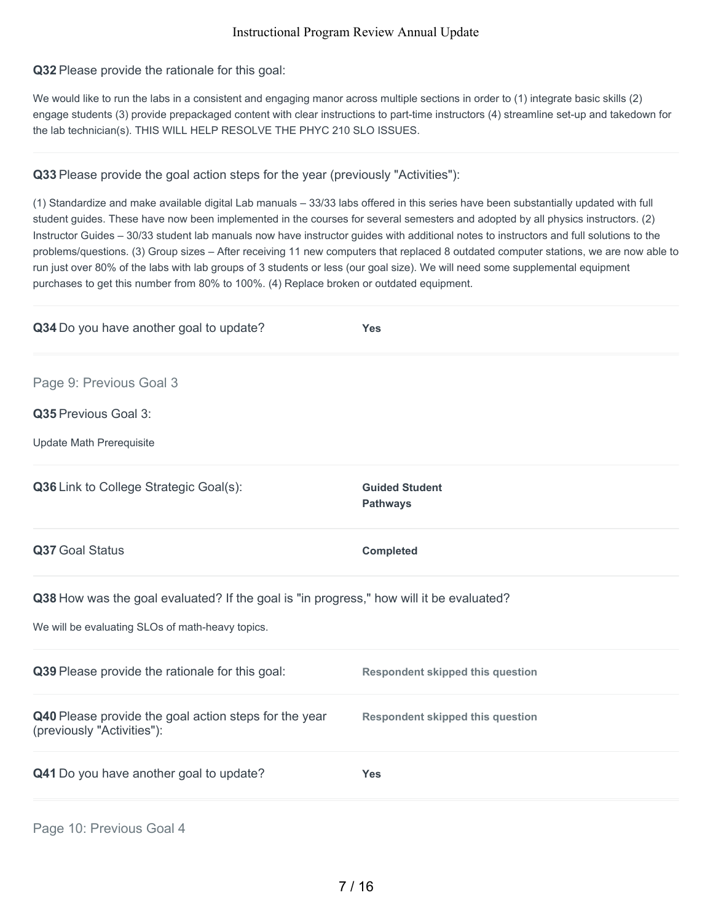**Q32** Please provide the rationale for this goal:

We would like to run the labs in a consistent and engaging manor across multiple sections in order to (1) integrate basic skills (2) engage students (3) provide prepackaged content with clear instructions to part-time instructors (4) streamline set-up and takedown for the lab technician(s). THIS WILL HELP RESOLVE THE PHYC 210 SLO ISSUES.

**Q33** Please provide the goal action steps for the year (previously "Activities"):

(1) Standardize and make available digital Lab manuals – 33/33 labs offered in this series have been substantially updated with full student guides. These have now been implemented in the courses for several semesters and adopted by all physics instructors. (2) Instructor Guides – 30/33 student lab manuals now have instructor guides with additional notes to instructors and full solutions to the problems/questions. (3) Group sizes – After receiving 11 new computers that replaced 8 outdated computer stations, we are now able to run just over 80% of the labs with lab groups of 3 students or less (our goal size). We will need some supplemental equipment purchases to get this number from 80% to 100%. (4) Replace broken or outdated equipment.

| Q34 Do you have another goal to update?                                                                                                     | <b>Yes</b>                               |
|---------------------------------------------------------------------------------------------------------------------------------------------|------------------------------------------|
| Page 9: Previous Goal 3                                                                                                                     |                                          |
| Q35 Previous Goal 3:                                                                                                                        |                                          |
| <b>Update Math Prerequisite</b>                                                                                                             |                                          |
| Q36 Link to College Strategic Goal(s):                                                                                                      | <b>Guided Student</b><br><b>Pathways</b> |
| Q37 Goal Status                                                                                                                             | <b>Completed</b>                         |
| Q38 How was the goal evaluated? If the goal is "in progress," how will it be evaluated?<br>We will be evaluating SLOs of math-heavy topics. |                                          |
| Q39 Please provide the rationale for this goal:                                                                                             | <b>Respondent skipped this question</b>  |
| Q40 Please provide the goal action steps for the year<br>(previously "Activities"):                                                         | <b>Respondent skipped this question</b>  |
| Q41 Do you have another goal to update?                                                                                                     | <b>Yes</b>                               |
|                                                                                                                                             |                                          |

Page 10: Previous Goal 4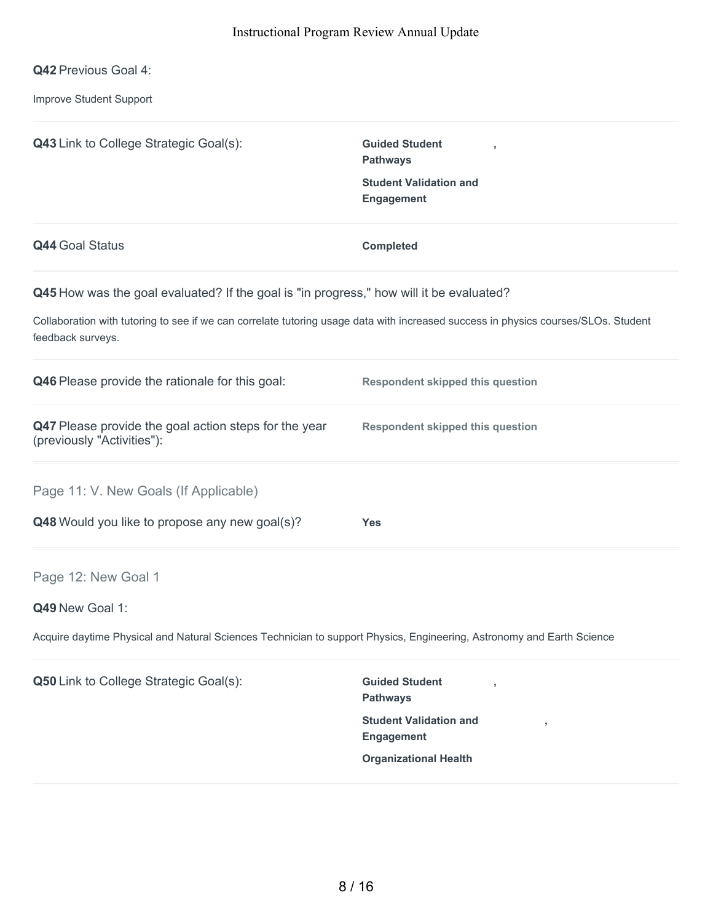**Q42** Previous Goal 4:

Improve Student Support

| <b>Q43</b> Link to College Strategic Goal(s):                                                                                                           | <b>Guided Student</b><br><b>Pathways</b><br><b>Student Validation and</b><br><b>Engagement</b> |
|---------------------------------------------------------------------------------------------------------------------------------------------------------|------------------------------------------------------------------------------------------------|
| <b>Q44 Goal Status</b>                                                                                                                                  | <b>Completed</b>                                                                               |
| Q45 How was the goal evaluated? If the goal is "in progress," how will it be evaluated?                                                                 |                                                                                                |
| Collaboration with tutoring to see if we can correlate tutoring usage data with increased success in physics courses/SLOs. Student<br>feedback surveys. |                                                                                                |
| Q46 Please provide the rationale for this goal:                                                                                                         | <b>Respondent skipped this question</b>                                                        |
| Q47 Please provide the goal action steps for the year<br>(previously "Activities"):                                                                     | <b>Respondent skipped this question</b>                                                        |
| Page 11: V. New Goals (If Applicable)                                                                                                                   |                                                                                                |
| Q48 Would you like to propose any new goal(s)?                                                                                                          | <b>Yes</b>                                                                                     |
| Page 12: New Goal 1                                                                                                                                     |                                                                                                |
| Q49 New Goal 1:                                                                                                                                         |                                                                                                |
| Acquire daytime Physical and Natural Sciences Technician to support Physics, Engineering, Astronomy and Earth Science                                   |                                                                                                |
| Q50 Link to College Strategic Goal(s):                                                                                                                  | <b>Guided Student</b><br><b>Pathways</b>                                                       |
|                                                                                                                                                         | <b>Student Validation and</b><br>$\overline{1}$<br>Engagement                                  |
|                                                                                                                                                         | <b>Organizational Health</b>                                                                   |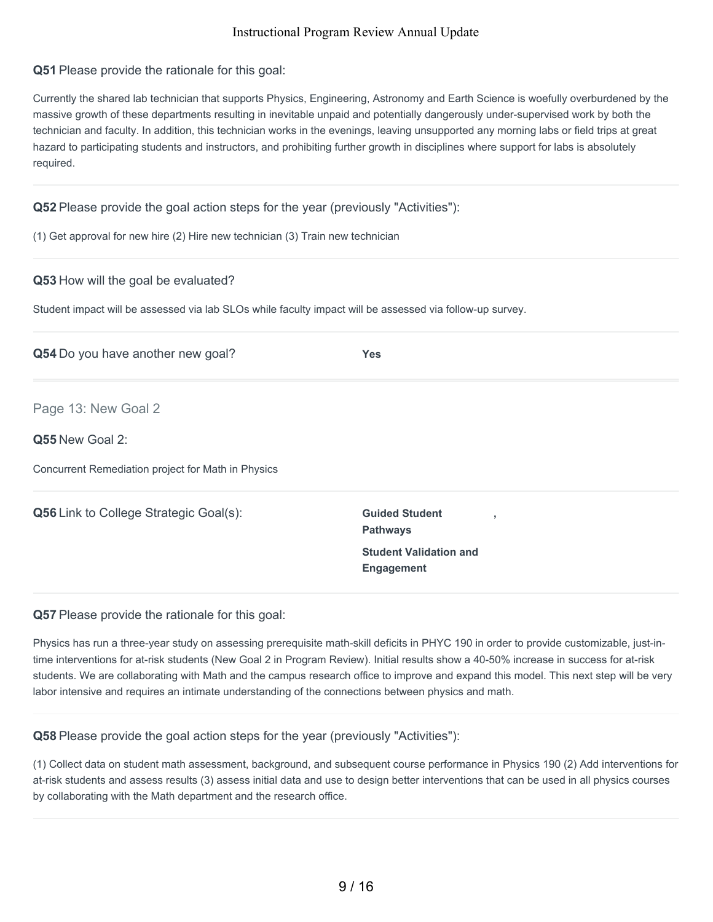## **Q51** Please provide the rationale for this goal:

Currently the shared lab technician that supports Physics, Engineering, Astronomy and Earth Science is woefully overburdened by the massive growth of these departments resulting in inevitable unpaid and potentially dangerously under-supervised work by both the technician and faculty. In addition, this technician works in the evenings, leaving unsupported any morning labs or field trips at great hazard to participating students and instructors, and prohibiting further growth in disciplines where support for labs is absolutely required.

## **Q52** Please provide the goal action steps for the year (previously "Activities"):

(1) Get approval for new hire (2) Hire new technician (3) Train new technician

#### **Q53** How will the goal be evaluated?

Student impact will be assessed via lab SLOs while faculty impact will be assessed via follow-up survey.

| Q54 Do you have another new goal?                  | <b>Yes</b>                                                 |  |
|----------------------------------------------------|------------------------------------------------------------|--|
| Page 13: New Goal 2                                |                                                            |  |
| Q55 New Goal 2:                                    |                                                            |  |
| Concurrent Remediation project for Math in Physics |                                                            |  |
| <b>Q56</b> Link to College Strategic Goal(s):      | <b>Guided Student</b><br>$\overline{1}$<br><b>Pathways</b> |  |
|                                                    | <b>Student Validation and</b><br>Engagement                |  |
|                                                    |                                                            |  |

#### **Q57** Please provide the rationale for this goal:

Physics has run a three-year study on assessing prerequisite math-skill deficits in PHYC 190 in order to provide customizable, just-intime interventions for at-risk students (New Goal 2 in Program Review). Initial results show a 40-50% increase in success for at-risk students. We are collaborating with Math and the campus research office to improve and expand this model. This next step will be very labor intensive and requires an intimate understanding of the connections between physics and math.

#### **Q58** Please provide the goal action steps for the year (previously "Activities"):

(1) Collect data on student math assessment, background, and subsequent course performance in Physics 190 (2) Add interventions for at-risk students and assess results (3) assess initial data and use to design better interventions that can be used in all physics courses by collaborating with the Math department and the research office.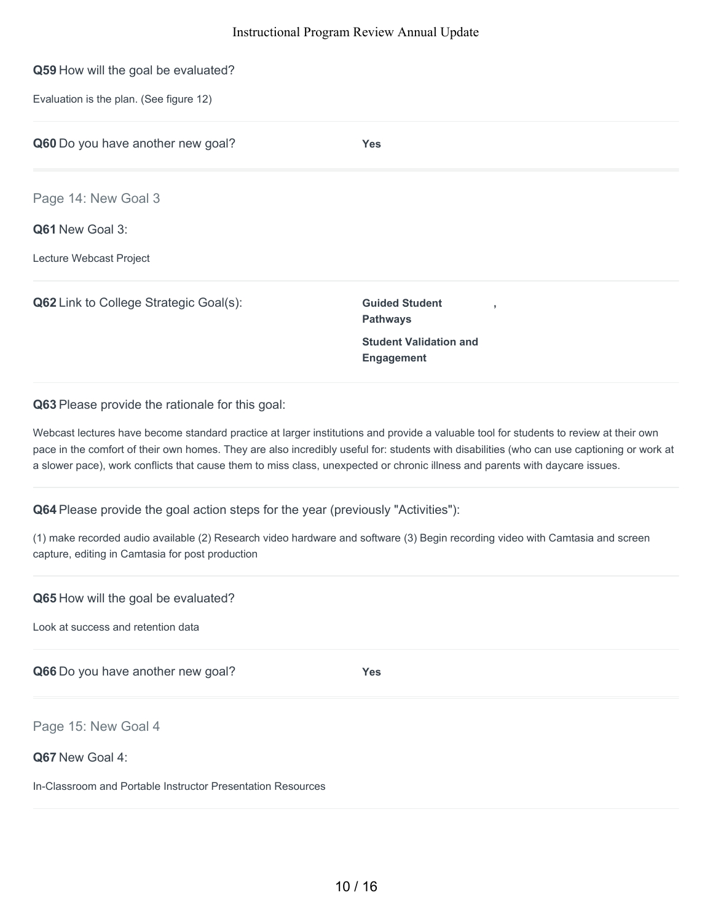# **Q59** How will the goal be evaluated? Evaluation is the plan. (See figure 12) **Q60** Do you have another new goal? **Yes Q61** New Goal 3: Lecture Webcast Project **Q62** Link to College Strategic Goal(s): **Guided Student Pathways , Student Validation and** Page 14: New Goal 3

**Q63** Please provide the rationale for this goal:

Webcast lectures have become standard practice at larger institutions and provide a valuable tool for students to review at their own pace in the comfort of their own homes. They are also incredibly useful for: students with disabilities (who can use captioning or work at a slower pace), work conflicts that cause them to miss class, unexpected or chronic illness and parents with daycare issues.

**Engagement**

**Q64** Please provide the goal action steps for the year (previously "Activities"):

(1) make recorded audio available (2) Research video hardware and software (3) Begin recording video with Camtasia and screen capture, editing in Camtasia for post production

| Q65 How will the goal be evaluated? |
|-------------------------------------|
|-------------------------------------|

Look at success and retention data

**Q66** Do you have another new goal? **Yes**

Page 15: New Goal 4

**Q67** New Goal 4:

In-Classroom and Portable Instructor Presentation Resources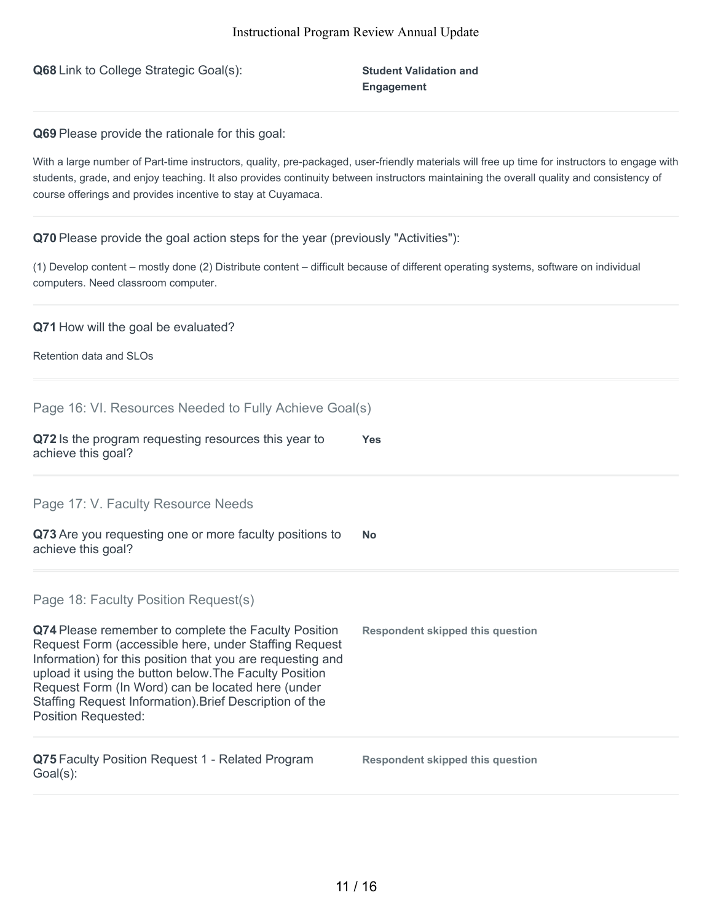**Q68** Link to College Strategic Goal(s): **Student Validation and**

**Engagement**

**Q69** Please provide the rationale for this goal:

With a large number of Part-time instructors, quality, pre-packaged, user-friendly materials will free up time for instructors to engage with students, grade, and enjoy teaching. It also provides continuity between instructors maintaining the overall quality and consistency of course offerings and provides incentive to stay at Cuyamaca.

**Q70** Please provide the goal action steps for the year (previously "Activities"):

(1) Develop content – mostly done (2) Distribute content – difficult because of different operating systems, software on individual computers. Need classroom computer.

#### **Q71** How will the goal be evaluated?

Retention data and SLOs

| Page 16: VI. Resources Needed to Fully Achieve Goal(s) |  |  |  |
|--------------------------------------------------------|--|--|--|
|                                                        |  |  |  |

| Q72 Is the program requesting resources this year to | Yes |
|------------------------------------------------------|-----|
| achieve this goal?                                   |     |

Page 17: V. Faculty Resource Needs

| Q73 Are you requesting one or more faculty positions to | <b>No</b> |
|---------------------------------------------------------|-----------|
| achieve this goal?                                      |           |

Page 18: Faculty Position Request(s)

| Q74 Please remember to complete the Faculty Position<br>Request Form (accessible here, under Staffing Request<br>Information) for this position that you are requesting and<br>upload it using the button below. The Faculty Position<br>Request Form (In Word) can be located here (under<br>Staffing Request Information). Brief Description of the<br><b>Position Requested:</b> | <b>Respondent skipped this question</b> |
|-------------------------------------------------------------------------------------------------------------------------------------------------------------------------------------------------------------------------------------------------------------------------------------------------------------------------------------------------------------------------------------|-----------------------------------------|
| Q75 Faculty Position Request 1 - Related Program<br>Goal(s):                                                                                                                                                                                                                                                                                                                        | Respondent skipped this question        |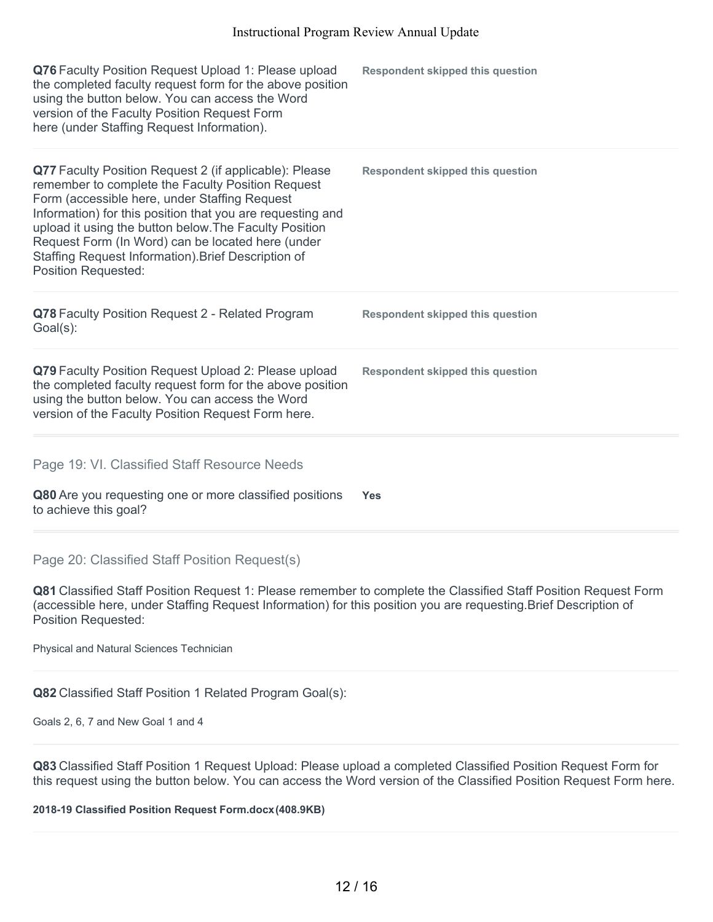| Q76 Faculty Position Request Upload 1: Please upload<br>the completed faculty request form for the above position<br>using the button below. You can access the Word<br>version of the Faculty Position Request Form<br>here (under Staffing Request Information).                                                                                                                                                             | <b>Respondent skipped this question</b> |
|--------------------------------------------------------------------------------------------------------------------------------------------------------------------------------------------------------------------------------------------------------------------------------------------------------------------------------------------------------------------------------------------------------------------------------|-----------------------------------------|
| Q77 Faculty Position Request 2 (if applicable): Please<br>remember to complete the Faculty Position Request<br>Form (accessible here, under Staffing Request<br>Information) for this position that you are requesting and<br>upload it using the button below. The Faculty Position<br>Request Form (In Word) can be located here (under<br>Staffing Request Information). Brief Description of<br><b>Position Requested:</b> | <b>Respondent skipped this question</b> |
| Q78 Faculty Position Request 2 - Related Program<br>Goal(s):                                                                                                                                                                                                                                                                                                                                                                   | <b>Respondent skipped this question</b> |
| Q79 Faculty Position Request Upload 2: Please upload<br>the completed faculty request form for the above position<br>using the button below. You can access the Word<br>version of the Faculty Position Request Form here.                                                                                                                                                                                                     | <b>Respondent skipped this question</b> |
| Page 19: VI. Classified Staff Resource Needs<br>Q80 Are you requesting one or more classified positions<br>to achieve this goal?                                                                                                                                                                                                                                                                                               | <b>Yes</b>                              |

#### Page 20: Classified Staff Position Request(s)

**Q81** Classified Staff Position Request 1: Please remember to complete the Classified Staff Position Request Form (accessible here, under Staffing Request Information) for this position you are requesting.Brief Description of Position Requested:

Physical and Natural Sciences Technician

**Q82** Classified Staff Position 1 Related Program Goal(s):

Goals 2, 6, 7 and New Goal 1 and 4

**Q83** Classified Staff Position 1 Request Upload: Please upload a completed Classified Position Request Form for this request using the button below. You can access the Word version of the Classified Position Request Form here.

**2018-19 Classified Position Request Form.docx(408.9KB)**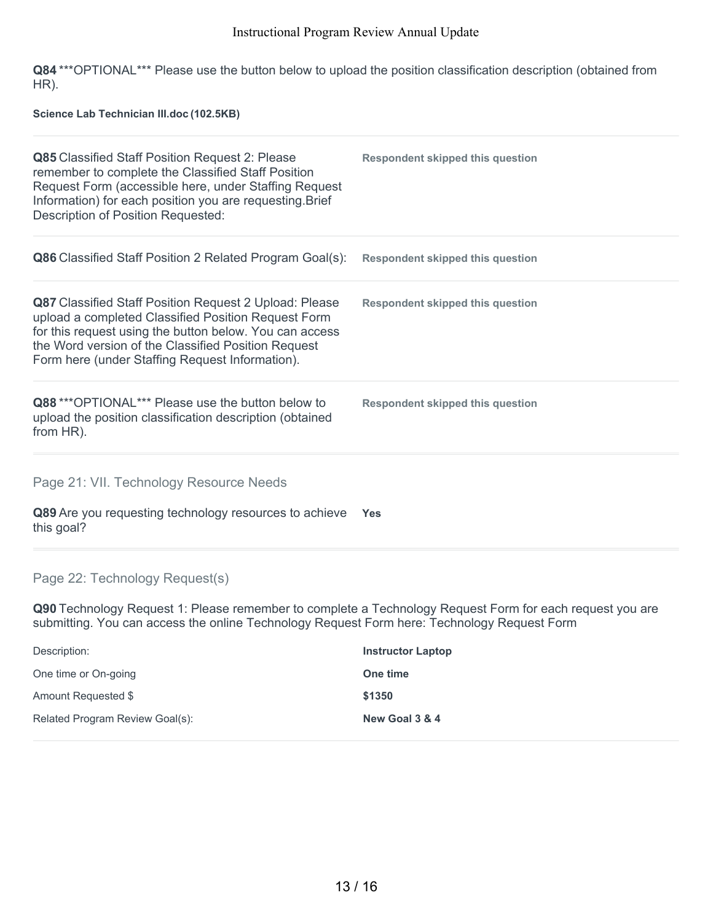**Q84** \*\*\*OPTIONAL\*\*\* Please use the button below to upload the position classification description (obtained from HR).

**Science Lab Technician III.doc (102.5KB)**

| Q85 Classified Staff Position Request 2: Please<br>remember to complete the Classified Staff Position<br>Request Form (accessible here, under Staffing Request<br>Information) for each position you are requesting. Brief<br>Description of Position Requested:                   | <b>Respondent skipped this question</b> |
|------------------------------------------------------------------------------------------------------------------------------------------------------------------------------------------------------------------------------------------------------------------------------------|-----------------------------------------|
| <b>Q86</b> Classified Staff Position 2 Related Program Goal(s):                                                                                                                                                                                                                    | <b>Respondent skipped this question</b> |
| Q87 Classified Staff Position Request 2 Upload: Please<br>upload a completed Classified Position Request Form<br>for this request using the button below. You can access<br>the Word version of the Classified Position Request<br>Form here (under Staffing Request Information). | <b>Respondent skipped this question</b> |
| Q88***OPTIONAL*** Please use the button below to<br>upload the position classification description (obtained<br>from HR).                                                                                                                                                          | <b>Respondent skipped this question</b> |
| Page 21: VII. Technology Resource Needs                                                                                                                                                                                                                                            |                                         |
| Q89 Are you requesting technology resources to achieve<br>this goal?                                                                                                                                                                                                               | <b>Yes</b>                              |

Page 22: Technology Request(s)

**Q90** Technology Request 1: Please remember to complete a Technology Request Form for each request you are submitting. You can access the online Technology Request Form here: Technology Request Form

| Description:                    | <b>Instructor Laptop</b> |
|---------------------------------|--------------------------|
| One time or On-going            | One time                 |
| Amount Requested \$             | \$1350                   |
| Related Program Review Goal(s): | New Goal 3 & 4           |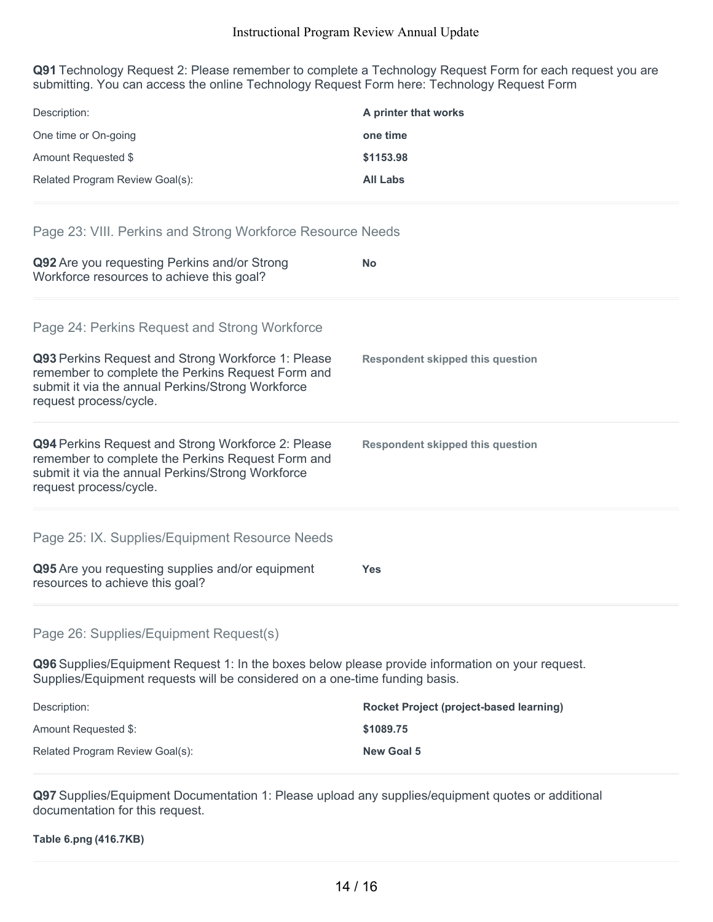**Q91** Technology Request 2: Please remember to complete a Technology Request Form for each request you are submitting. You can access the online Technology Request Form here: Technology Request Form

| Description:                                                                                                                                                                           | A printer that works                    |
|----------------------------------------------------------------------------------------------------------------------------------------------------------------------------------------|-----------------------------------------|
| One time or On-going                                                                                                                                                                   | one time                                |
| Amount Requested \$                                                                                                                                                                    | \$1153.98                               |
| Related Program Review Goal(s):                                                                                                                                                        | <b>All Labs</b>                         |
| Page 23: VIII. Perkins and Strong Workforce Resource Needs                                                                                                                             |                                         |
| Q92 Are you requesting Perkins and/or Strong<br>Workforce resources to achieve this goal?                                                                                              | No                                      |
| Page 24: Perkins Request and Strong Workforce                                                                                                                                          |                                         |
| Q93 Perkins Request and Strong Workforce 1: Please<br>remember to complete the Perkins Request Form and<br>submit it via the annual Perkins/Strong Workforce<br>request process/cycle. | <b>Respondent skipped this question</b> |
| Q94 Perkins Request and Strong Workforce 2: Please<br>remember to complete the Perkins Request Form and<br>submit it via the annual Perkins/Strong Workforce<br>request process/cycle. | <b>Respondent skipped this question</b> |
| Page 25: IX. Supplies/Equipment Resource Needs                                                                                                                                         |                                         |
| Q95 Are you requesting supplies and/or equipment<br>resources to achieve this goal?                                                                                                    | Yes                                     |
| Page 26: Supplies/Equipment Request(s)                                                                                                                                                 |                                         |
| Q96 Supplies/Equipment Request 1: In the boxes below please provide information on your request.<br>Supplies/Equipment requests will be considered on a one-time funding basis.        |                                         |
| Description:                                                                                                                                                                           | Rocket Project (project-based learning) |
| Amount Requested \$:                                                                                                                                                                   | \$1089.75                               |

**Q97** Supplies/Equipment Documentation 1: Please upload any supplies/equipment quotes or additional documentation for this request.

Related Program Review Goal(s): **New Goal 5**

**Table 6.png (416.7KB)**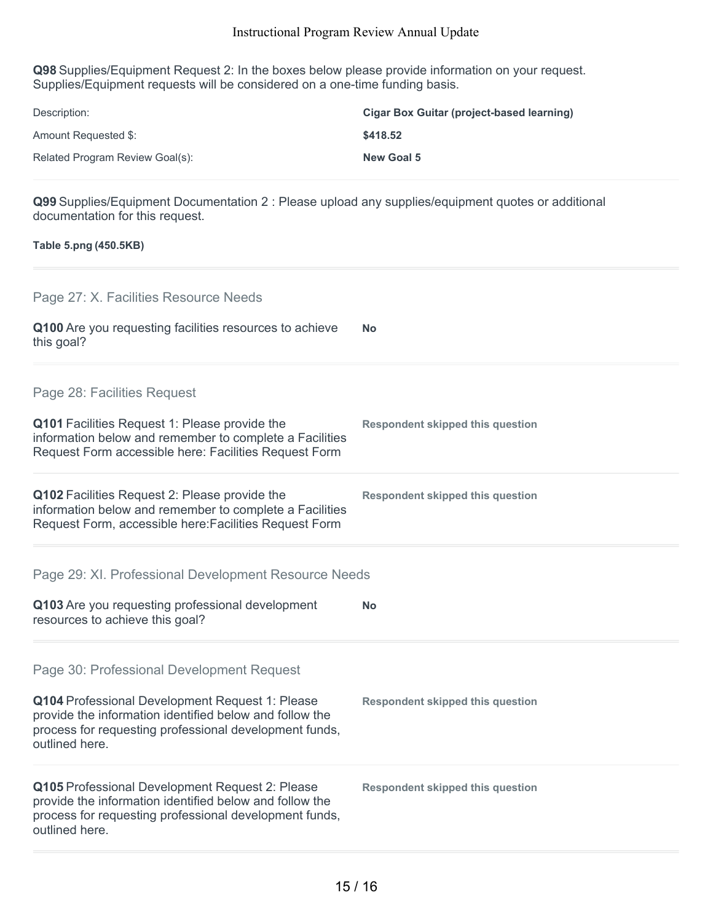**Q98** Supplies/Equipment Request 2: In the boxes below please provide information on your request. Supplies/Equipment requests will be considered on a one-time funding basis.

| Description:                    | <b>Cigar Box Guitar (project-based learning)</b> |
|---------------------------------|--------------------------------------------------|
| Amount Requested \$:            | \$418.52                                         |
| Related Program Review Goal(s): | <b>New Goal 5</b>                                |

**Q99** Supplies/Equipment Documentation 2 : Please upload any supplies/equipment quotes or additional documentation for this request.

## **Table 5.png (450.5KB)**

| Page 27: X. Facilities Resource Needs                                                                                                                                                  |                                         |
|----------------------------------------------------------------------------------------------------------------------------------------------------------------------------------------|-----------------------------------------|
| Q100 Are you requesting facilities resources to achieve<br>this goal?                                                                                                                  | No                                      |
| Page 28: Facilities Request                                                                                                                                                            |                                         |
| Q101 Facilities Request 1: Please provide the<br>information below and remember to complete a Facilities<br>Request Form accessible here: Facilities Request Form                      | <b>Respondent skipped this question</b> |
| Q102 Facilities Request 2: Please provide the<br>information below and remember to complete a Facilities<br>Request Form, accessible here: Facilities Request Form                     | <b>Respondent skipped this question</b> |
| Page 29: XI. Professional Development Resource Needs                                                                                                                                   |                                         |
| Q103 Are you requesting professional development<br>resources to achieve this goal?                                                                                                    | No                                      |
| Page 30: Professional Development Request                                                                                                                                              |                                         |
| Q104 Professional Development Request 1: Please<br>provide the information identified below and follow the<br>process for requesting professional development funds,<br>outlined here. | <b>Respondent skipped this question</b> |
| Q105 Professional Development Request 2: Please<br>provide the information identified below and follow the<br>process for requesting professional development funds,<br>outlined here. | <b>Respondent skipped this question</b> |